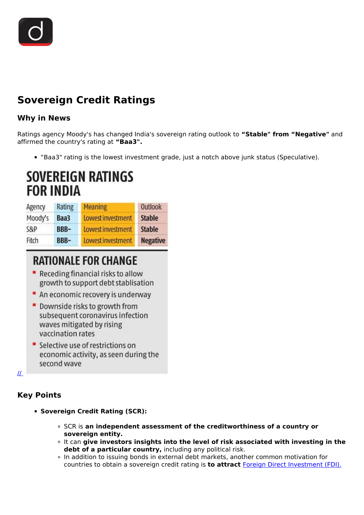

## **Sovereign Credit Ratings**

#### **Why in News**

Ratings agency Moody's has changed India's sovereign rating outlook to **"Stable" from "Negative"** and affirmed the country's rating at **"Baa3".**

"Baa3" rating is the lowest investment grade, just a notch above junk status (Speculative).

# SOVEREIGN RATINGS **FOR INDIA**

| Agency  | Rating      | <b>Meaning</b>    | <b>Outlook</b>  |
|---------|-------------|-------------------|-----------------|
| Moody's | Baa3        | Lowest investment | <b>Stable</b>   |
| S&P     | BBB-        | Lowest investment | <b>Stable</b>   |
| Fitch   | <b>BBB-</b> | Lowest investment | <b>Negative</b> |

## **RATIONALE FOR CHANGE**

- " Receding financial risks to allow growth to support debt stablisation
- " An economic recovery is underway
- Downside risks to growth from subsequent coronavirus infection waves mitigated by rising vaccination rates
- Selective use of restrictions on economic activity, as seen during the second wave

[//](https://www.drishtiias.com/images/uploads/1633761599_image1.png) 

### **Key Points**

- **Sovereign Credit Rating (SCR):** 
	- SCR is **an independent assessment of the creditworthiness of a country or sovereign entity.**
	- It can **give investors insights into the level of risk associated with investing in the debt of a particular country,** including any political risk.
	- In addition to issuing bonds in external debt markets, another common motivation for countries to obtain a sovereign credit rating is **to attract** [Foreign Direct Investment \(FDI\).](/daily-updates/daily-news-analysis/fdi-inflow-touches-82-bn-in-fy21)